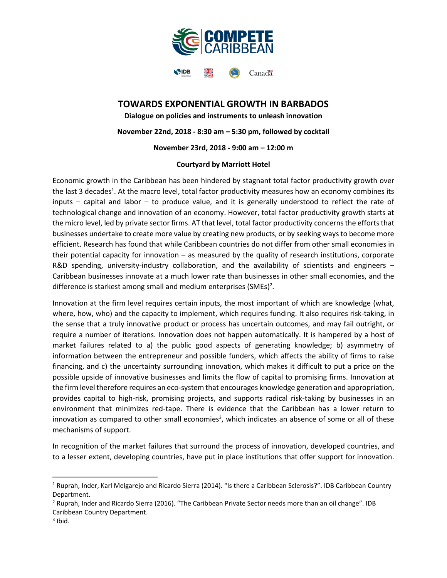

## **TOWARDS EXPONENTIAL GROWTH IN BARBADOS**

**Dialogue on policies and instruments to unleash innovation November 22nd, 2018 - 8:30 am – 5:30 pm, followed by cocktail November 23rd, 2018 - 9:00 am – 12:00 m**

### **Courtyard by Marriott Hotel**

Economic growth in the Caribbean has been hindered by stagnant total factor productivity growth over the last 3 decades<sup>1</sup>. At the macro level, total factor productivity measures how an economy combines its inputs – capital and labor – to produce value, and it is generally understood to reflect the rate of technological change and innovation of an economy. However, total factor productivity growth starts at the micro level, led by private sector firms. AT that level, total factor productivity concerns the efforts that businesses undertake to create more value by creating new products, or by seeking ways to become more efficient. Research has found that while Caribbean countries do not differ from other small economies in their potential capacity for innovation – as measured by the quality of research institutions, corporate R&D spending, university-industry collaboration, and the availability of scientists and engineers -Caribbean businesses innovate at a much lower rate than businesses in other small economies, and the difference is starkest among small and medium enterprises (SMEs)<sup>2</sup>.

Innovation at the firm level requires certain inputs, the most important of which are knowledge (what, where, how, who) and the capacity to implement, which requires funding. It also requires risk-taking, in the sense that a truly innovative product or process has uncertain outcomes, and may fail outright, or require a number of iterations. Innovation does not happen automatically. It is hampered by a host of market failures related to a) the public good aspects of generating knowledge; b) asymmetry of information between the entrepreneur and possible funders, which affects the ability of firms to raise financing, and c) the uncertainty surrounding innovation, which makes it difficult to put a price on the possible upside of innovative businesses and limits the flow of capital to promising firms. Innovation at the firm level therefore requires an eco-system that encourages knowledge generation and appropriation, provides capital to high-risk, promising projects, and supports radical risk-taking by businesses in an environment that minimizes red-tape. There is evidence that the Caribbean has a lower return to innovation as compared to other small economies<sup>3</sup>, which indicates an absence of some or all of these mechanisms of support.

In recognition of the market failures that surround the process of innovation, developed countries, and to a lesser extent, developing countries, have put in place institutions that offer support for innovation.

 $\overline{\phantom{a}}$ 

<sup>&</sup>lt;sup>1</sup> Ruprah, Inder, Karl Melgarejo and Ricardo Sierra (2014). "Is there a Caribbean Sclerosis?". IDB Caribbean Country Department.

<sup>2</sup> Ruprah, Inder and Ricardo Sierra (2016). "The Caribbean Private Sector needs more than an oil change". IDB Caribbean Country Department.

 $3$  Ibid.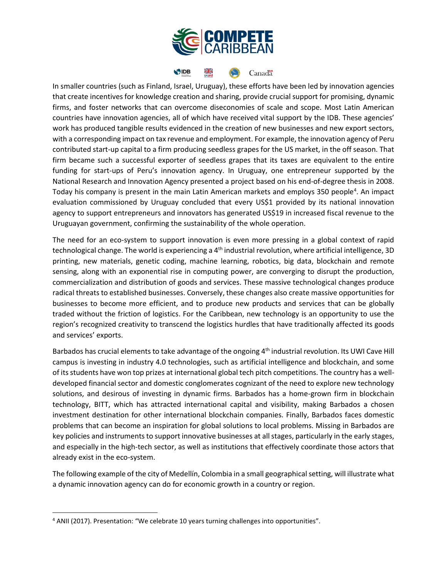

#### SIDB <u>XK</u> Canada

In smaller countries (such as Finland, Israel, Uruguay), these efforts have been led by innovation agencies that create incentives for knowledge creation and sharing, provide crucial support for promising, dynamic firms, and foster networks that can overcome diseconomies of scale and scope. Most Latin American countries have innovation agencies, all of which have received vital support by the IDB. These agencies' work has produced tangible results evidenced in the creation of new businesses and new export sectors, with a corresponding impact on tax revenue and employment. For example, the innovation agency of Peru contributed start-up capital to a firm producing seedless grapes for the US market, in the off season. That firm became such a successful exporter of seedless grapes that its taxes are equivalent to the entire funding for start-ups of Peru's innovation agency. In Uruguay, one entrepreneur supported by the National Research and Innovation Agency presented a project based on his end-of-degree thesis in 2008. Today his company is present in the main Latin American markets and employs 350 people<sup>4</sup>. An impact evaluation commissioned by Uruguay concluded that every US\$1 provided by its national innovation agency to support entrepreneurs and innovators has generated US\$19 in increased fiscal revenue to the Uruguayan government, confirming the sustainability of the whole operation.

The need for an eco-system to support innovation is even more pressing in a global context of rapid technological change. The world is experiencing a 4<sup>th</sup> industrial revolution, where artificial intelligence, 3D printing, new materials, genetic coding, machine learning, robotics, big data, blockchain and remote sensing, along with an exponential rise in computing power, are converging to disrupt the production, commercialization and distribution of goods and services. These massive technological changes produce radical threats to established businesses. Conversely, these changes also create massive opportunities for businesses to become more efficient, and to produce new products and services that can be globally traded without the friction of logistics. For the Caribbean, new technology is an opportunity to use the region's recognized creativity to transcend the logistics hurdles that have traditionally affected its goods and services' exports.

Barbados has crucial elements to take advantage of the ongoing 4<sup>th</sup> industrial revolution. Its UWI Cave Hill campus is investing in industry 4.0 technologies, such as artificial intelligence and blockchain, and some of its students have won top prizes at international global tech pitch competitions. The country has a welldeveloped financial sector and domestic conglomerates cognizant of the need to explore new technology solutions, and desirous of investing in dynamic firms. Barbados has a home-grown firm in blockchain technology, BITT, which has attracted international capital and visibility, making Barbados a chosen investment destination for other international blockchain companies. Finally, Barbados faces domestic problems that can become an inspiration for global solutions to local problems. Missing in Barbados are key policies and instruments to support innovative businesses at all stages, particularly in the early stages, and especially in the high-tech sector, as well as institutions that effectively coordinate those actors that already exist in the eco-system.

The following example of the city of Medellín, Colombia in a small geographical setting, will illustrate what a dynamic innovation agency can do for economic growth in a country or region.

 $\overline{\phantom{a}}$ 

<sup>&</sup>lt;sup>4</sup> ANII (2017). Presentation: "We celebrate 10 years turning challenges into opportunities".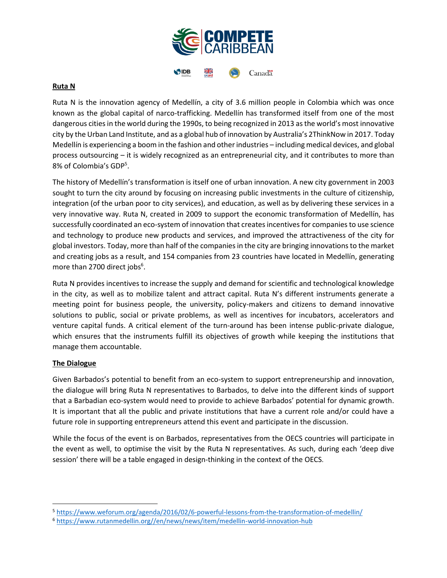

#### **Ruta N**

Ruta N is the innovation agency of Medellín, a city of 3.6 million people in Colombia which was once known as the global capital of narco-trafficking. Medellín has transformed itself from one of the most dangerous cities in the world during the 1990s, to being recognized in 2013 as the world's most innovative city by the Urban Land Institute, and as a global hub of innovation by Australia's 2ThinkNow in 2017. Today Medellín is experiencing a boom in the fashion and other industries – including medical devices, and global process outsourcing – it is widely recognized as an entrepreneurial city, and it contributes to more than 8% of Colombia's GDP<sup>5</sup>.

The history of Medellín's transformation is itself one of urban innovation. A new city government in 2003 sought to turn the city around by focusing on increasing public investments in the culture of citizenship, integration (of the urban poor to city services), and education, as well as by delivering these services in a very innovative way. Ruta N, created in 2009 to support the economic transformation of Medellín, has successfully coordinated an eco-system of innovation that creates incentives for companies to use science and technology to produce new products and services, and improved the attractiveness of the city for global investors. Today, more than half of the companies in the city are bringing innovations to the market and creating jobs as a result, and 154 companies from 23 countries have located in Medellín, generating more than 2700 direct jobs<sup>6</sup>.

Ruta N provides incentives to increase the supply and demand for scientific and technological knowledge in the city, as well as to mobilize talent and attract capital. Ruta N's different instruments generate a meeting point for business people, the university, policy-makers and citizens to demand innovative solutions to public, social or private problems, as well as incentives for incubators, accelerators and venture capital funds. A critical element of the turn-around has been intense public-private dialogue, which ensures that the instruments fulfill its objectives of growth while keeping the institutions that manage them accountable.

#### **The Dialogue**

 $\overline{\phantom{a}}$ 

Given Barbados's potential to benefit from an eco-system to support entrepreneurship and innovation, the dialogue will bring Ruta N representatives to Barbados, to delve into the different kinds of support that a Barbadian eco-system would need to provide to achieve Barbados' potential for dynamic growth. It is important that all the public and private institutions that have a current role and/or could have a future role in supporting entrepreneurs attend this event and participate in the discussion.

While the focus of the event is on Barbados, representatives from the OECS countries will participate in the event as well, to optimise the visit by the Ruta N representatives. As such, during each 'deep dive session' there will be a table engaged in design-thinking in the context of the OECS.

<sup>5</sup> <https://www.weforum.org/agenda/2016/02/6-powerful-lessons-from-the-transformation-of-medellin/>

<sup>6</sup> [https://www.rutanmedellin.org//en/news/news/item/medellin-world-innovation-hub](https://www.rutanmedellin.org/en/news/news/item/medellin-world-innovation-hub)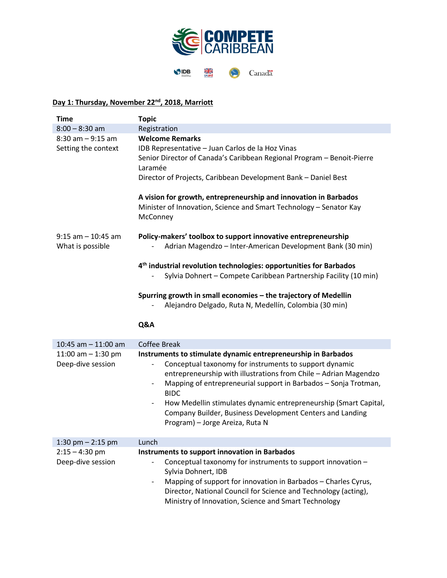

# **Day 1: Thursday, November 22nd, 2018, Marriott**

| <b>Time</b>                               | <b>Topic</b>                                                                                                                                       |
|-------------------------------------------|----------------------------------------------------------------------------------------------------------------------------------------------------|
| $8:00 - 8:30$ am                          | Registration                                                                                                                                       |
| $8:30$ am $-9:15$ am                      | <b>Welcome Remarks</b>                                                                                                                             |
| Setting the context                       | IDB Representative - Juan Carlos de la Hoz Vinas                                                                                                   |
|                                           | Senior Director of Canada's Caribbean Regional Program - Benoit-Pierre                                                                             |
|                                           | Laramée                                                                                                                                            |
|                                           | Director of Projects, Caribbean Development Bank - Daniel Best                                                                                     |
|                                           | A vision for growth, entrepreneurship and innovation in Barbados<br>Minister of Innovation, Science and Smart Technology - Senator Kay<br>McConney |
| $9:15$ am $-10:45$ am<br>What is possible | Policy-makers' toolbox to support innovative entrepreneurship<br>Adrian Magendzo - Inter-American Development Bank (30 min)                        |
|                                           | 4 <sup>th</sup> industrial revolution technologies: opportunities for Barbados                                                                     |
|                                           | Sylvia Dohnert - Compete Caribbean Partnership Facility (10 min)                                                                                   |
|                                           |                                                                                                                                                    |
|                                           | Spurring growth in small economies - the trajectory of Medellin                                                                                    |
|                                           | Alejandro Delgado, Ruta N, Medellín, Colombia (30 min)                                                                                             |
|                                           |                                                                                                                                                    |
|                                           | Q&A                                                                                                                                                |
|                                           |                                                                                                                                                    |
| 10:45 am $-$ 11:00 am                     | <b>Coffee Break</b>                                                                                                                                |
| 11:00 am $-$ 1:30 pm                      | Instruments to stimulate dynamic entrepreneurship in Barbados                                                                                      |
| Deep-dive session                         | Conceptual taxonomy for instruments to support dynamic                                                                                             |
|                                           | entrepreneurship with illustrations from Chile - Adrian Magendzo                                                                                   |
|                                           | Mapping of entrepreneurial support in Barbados - Sonja Trotman,                                                                                    |
|                                           | <b>BIDC</b>                                                                                                                                        |
|                                           | How Medellin stimulates dynamic entrepreneurship (Smart Capital,<br>$\overline{\phantom{a}}$                                                       |
|                                           | Company Builder, Business Development Centers and Landing                                                                                          |
|                                           | Program) - Jorge Areiza, Ruta N                                                                                                                    |
| 1:30 pm $-$ 2:15 pm                       | Lunch                                                                                                                                              |
| $2:15 - 4:30$ pm                          | Instruments to support innovation in Barbados                                                                                                      |
| Deep-dive session                         | Conceptual taxonomy for instruments to support innovation -                                                                                        |
|                                           | Sylvia Dohnert, IDB                                                                                                                                |
|                                           | Mapping of support for innovation in Barbados - Charles Cyrus,<br>$\overline{\phantom{a}}$                                                         |
|                                           | Director, National Council for Science and Technology (acting),                                                                                    |
|                                           | Ministry of Innovation, Science and Smart Technology                                                                                               |
|                                           |                                                                                                                                                    |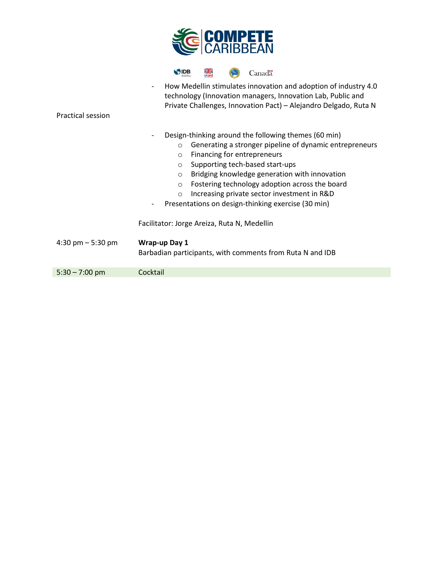|                          | <b>COMPETE</b><br>CARIBBEAN                                                                                                                                                                                                                                                                                                                                                                                                                                                                                |
|--------------------------|------------------------------------------------------------------------------------------------------------------------------------------------------------------------------------------------------------------------------------------------------------------------------------------------------------------------------------------------------------------------------------------------------------------------------------------------------------------------------------------------------------|
| <b>Practical session</b> | ⋇<br>SIDB<br>Canad <sup>"</sup><br>How Medellin stimulates innovation and adoption of industry 4.0<br>$\overline{\phantom{a}}$<br>technology (Innovation managers, Innovation Lab, Public and<br>Private Challenges, Innovation Pact) - Alejandro Delgado, Ruta N                                                                                                                                                                                                                                          |
|                          | Design-thinking around the following themes (60 min)<br>Generating a stronger pipeline of dynamic entrepreneurs<br>$\circ$<br>Financing for entrepreneurs<br>$\circ$<br>Supporting tech-based start-ups<br>$\circ$<br>Bridging knowledge generation with innovation<br>$\circ$<br>Fostering technology adoption across the board<br>$\circ$<br>Increasing private sector investment in R&D<br>$\circ$<br>Presentations on design-thinking exercise (30 min)<br>Facilitator: Jorge Areiza, Ruta N, Medellin |
| 4:30 pm $-$ 5:30 pm      | Wrap-up Day 1<br>Barbadian participants, with comments from Ruta N and IDB                                                                                                                                                                                                                                                                                                                                                                                                                                 |
| $5:30 - 7:00$ pm         | Cocktail                                                                                                                                                                                                                                                                                                                                                                                                                                                                                                   |